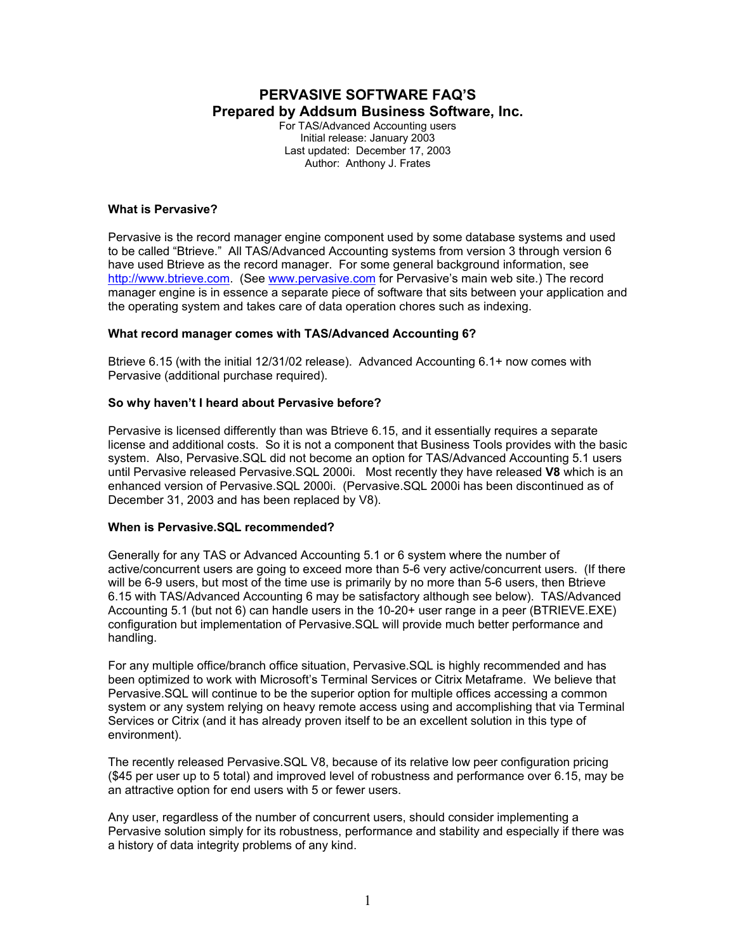# **PERVASIVE SOFTWARE FAQ'S Prepared by Addsum Business Software, Inc.**

For TAS/Advanced Accounting users Initial release: January 2003 Last updated: December 17, 2003 Author: Anthony J. Frates

### **What is Pervasive?**

Pervasive is the record manager engine component used by some database systems and used to be called "Btrieve." All TAS/Advanced Accounting systems from version 3 through version 6 have used Btrieve as the record manager. For some general background information, see http://www.btrieve.com. (See www.pervasive.com for Pervasive's main web site.) The record manager engine is in essence a separate piece of software that sits between your application and the operating system and takes care of data operation chores such as indexing.

## **What record manager comes with TAS/Advanced Accounting 6?**

Btrieve 6.15 (with the initial 12/31/02 release). Advanced Accounting 6.1+ now comes with Pervasive (additional purchase required).

## **So why haven't I heard about Pervasive before?**

Pervasive is licensed differently than was Btrieve 6.15, and it essentially requires a separate license and additional costs. So it is not a component that Business Tools provides with the basic system. Also, Pervasive.SQL did not become an option for TAS/Advanced Accounting 5.1 users until Pervasive released Pervasive.SQL 2000i. Most recently they have released **V8** which is an enhanced version of Pervasive.SQL 2000i. (Pervasive.SQL 2000i has been discontinued as of December 31, 2003 and has been replaced by V8).

#### **When is Pervasive.SQL recommended?**

Generally for any TAS or Advanced Accounting 5.1 or 6 system where the number of active/concurrent users are going to exceed more than 5-6 very active/concurrent users. (If there will be 6-9 users, but most of the time use is primarily by no more than 5-6 users, then Btrieve 6.15 with TAS/Advanced Accounting 6 may be satisfactory although see below). TAS/Advanced Accounting 5.1 (but not 6) can handle users in the 10-20+ user range in a peer (BTRIEVE.EXE) configuration but implementation of Pervasive.SQL will provide much better performance and handling.

For any multiple office/branch office situation, Pervasive.SQL is highly recommended and has been optimized to work with Microsoft's Terminal Services or Citrix Metaframe. We believe that Pervasive.SQL will continue to be the superior option for multiple offices accessing a common system or any system relying on heavy remote access using and accomplishing that via Terminal Services or Citrix (and it has already proven itself to be an excellent solution in this type of environment).

The recently released Pervasive.SQL V8, because of its relative low peer configuration pricing (\$45 per user up to 5 total) and improved level of robustness and performance over 6.15, may be an attractive option for end users with 5 or fewer users.

Any user, regardless of the number of concurrent users, should consider implementing a Pervasive solution simply for its robustness, performance and stability and especially if there was a history of data integrity problems of any kind.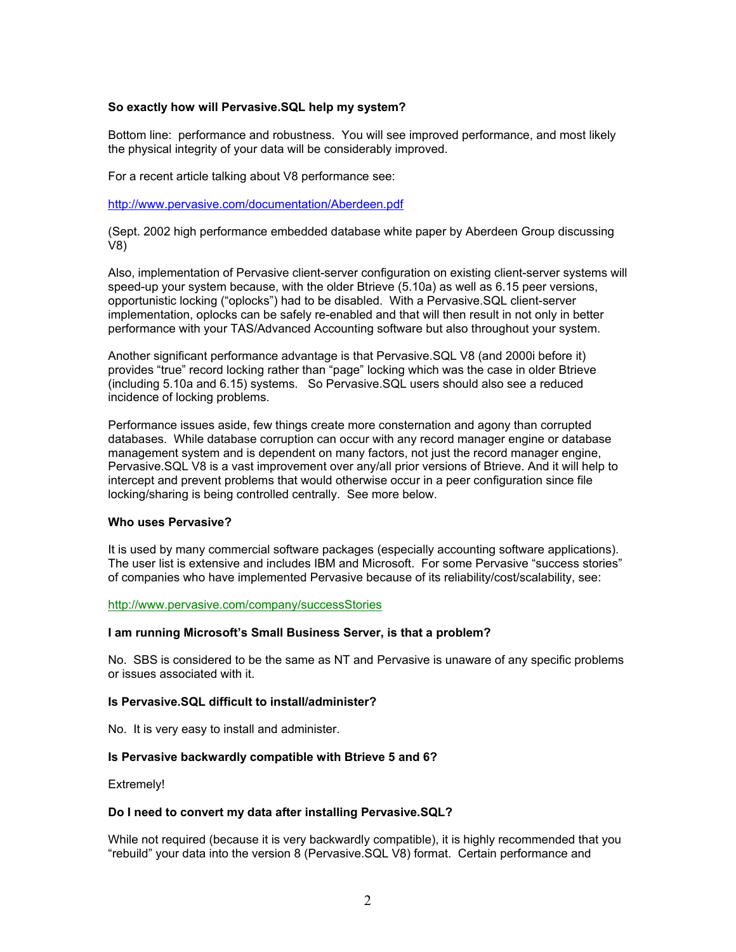#### **So exactly how will Pervasive.SQL help my system?**

Bottom line: performance and robustness. You will see improved performance, and most likely the physical integrity of your data will be considerably improved.

For a recent article talking about V8 performance see:

http://www.pervasive.com/documentation/Aberdeen.pdf

(Sept. 2002 high performance embedded database white paper by Aberdeen Group discussing V8)

Also, implementation of Pervasive client-server configuration on existing client-server systems will speed-up your system because, with the older Btrieve (5.10a) as well as 6.15 peer versions, opportunistic locking ("oplocks") had to be disabled. With a Pervasive.SQL client-server implementation, oplocks can be safely re-enabled and that will then result in not only in better performance with your TAS/Advanced Accounting software but also throughout your system.

Another significant performance advantage is that Pervasive.SQL V8 (and 2000i before it) provides "true" record locking rather than "page" locking which was the case in older Btrieve (including 5.10a and 6.15) systems. So Pervasive.SQL users should also see a reduced incidence of locking problems.

Performance issues aside, few things create more consternation and agony than corrupted databases. While database corruption can occur with any record manager engine or database management system and is dependent on many factors, not just the record manager engine, Pervasive.SQL V8 is a vast improvement over any/all prior versions of Btrieve. And it will help to intercept and prevent problems that would otherwise occur in a peer configuration since file locking/sharing is being controlled centrally. See more below.

### **Who uses Pervasive?**

It is used by many commercial software packages (especially accounting software applications). The user list is extensive and includes IBM and Microsoft. For some Pervasive "success stories" of companies who have implemented Pervasive because of its reliability/cost/scalability, see:

#### http://www.pervasive.com/company/successStories

#### **I am running Microsoft's Small Business Server, is that a problem?**

No. SBS is considered to be the same as NT and Pervasive is unaware of any specific problems or issues associated with it.

#### **Is Pervasive.SQL difficult to install/administer?**

No. It is very easy to install and administer.

#### **Is Pervasive backwardly compatible with Btrieve 5 and 6?**

Extremely!

#### **Do I need to convert my data after installing Pervasive.SQL?**

While not required (because it is very backwardly compatible), it is highly recommended that you "rebuild" your data into the version 8 (Pervasive.SQL V8) format. Certain performance and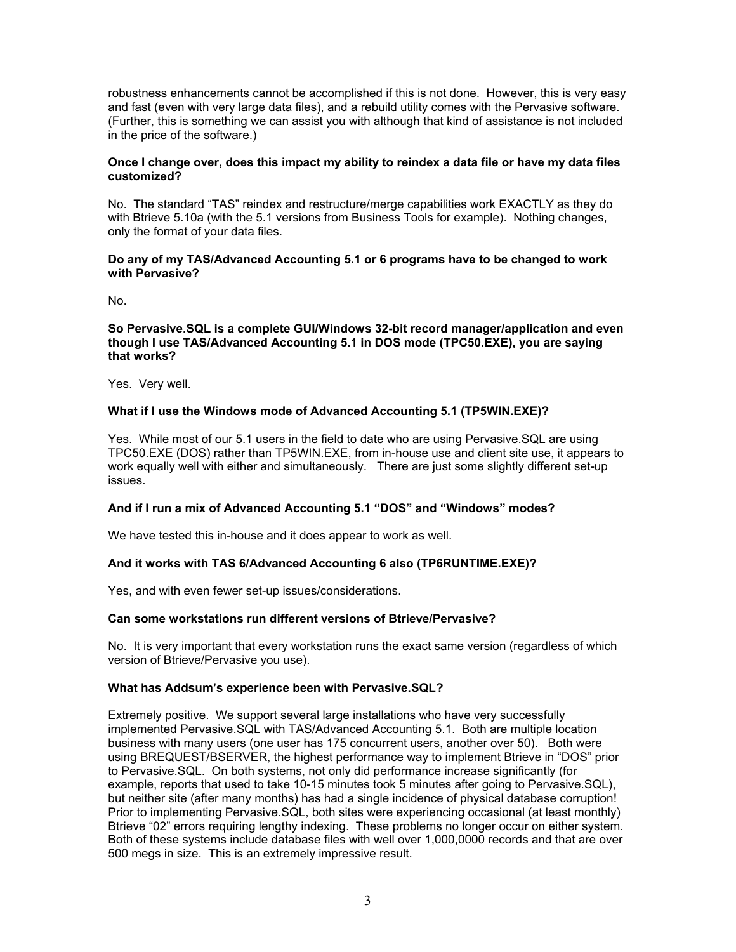robustness enhancements cannot be accomplished if this is not done. However, this is very easy and fast (even with very large data files), and a rebuild utility comes with the Pervasive software. (Further, this is something we can assist you with although that kind of assistance is not included in the price of the software.)

### **Once I change over, does this impact my ability to reindex a data file or have my data files customized?**

No. The standard "TAS" reindex and restructure/merge capabilities work EXACTLY as they do with Btrieve 5.10a (with the 5.1 versions from Business Tools for example). Nothing changes, only the format of your data files.

#### **Do any of my TAS/Advanced Accounting 5.1 or 6 programs have to be changed to work with Pervasive?**

No.

### **So Pervasive.SQL is a complete GUI/Windows 32-bit record manager/application and even though I use TAS/Advanced Accounting 5.1 in DOS mode (TPC50.EXE), you are saying that works?**

Yes. Very well.

## **What if I use the Windows mode of Advanced Accounting 5.1 (TP5WIN.EXE)?**

Yes. While most of our 5.1 users in the field to date who are using Pervasive.SQL are using TPC50.EXE (DOS) rather than TP5WIN.EXE, from in-house use and client site use, it appears to work equally well with either and simultaneously. There are just some slightly different set-up issues.

#### **And if I run a mix of Advanced Accounting 5.1 "DOS" and "Windows" modes?**

We have tested this in-house and it does appear to work as well.

#### **And it works with TAS 6/Advanced Accounting 6 also (TP6RUNTIME.EXE)?**

Yes, and with even fewer set-up issues/considerations.

#### **Can some workstations run different versions of Btrieve/Pervasive?**

No. It is very important that every workstation runs the exact same version (regardless of which version of Btrieve/Pervasive you use).

#### **What has Addsum's experience been with Pervasive.SQL?**

Extremely positive. We support several large installations who have very successfully implemented Pervasive.SQL with TAS/Advanced Accounting 5.1. Both are multiple location business with many users (one user has 175 concurrent users, another over 50). Both were using BREQUEST/BSERVER, the highest performance way to implement Btrieve in "DOS" prior to Pervasive.SQL. On both systems, not only did performance increase significantly (for example, reports that used to take 10-15 minutes took 5 minutes after going to Pervasive.SQL), but neither site (after many months) has had a single incidence of physical database corruption! Prior to implementing Pervasive.SQL, both sites were experiencing occasional (at least monthly) Btrieve "02" errors requiring lengthy indexing. These problems no longer occur on either system. Both of these systems include database files with well over 1,000,0000 records and that are over 500 megs in size. This is an extremely impressive result.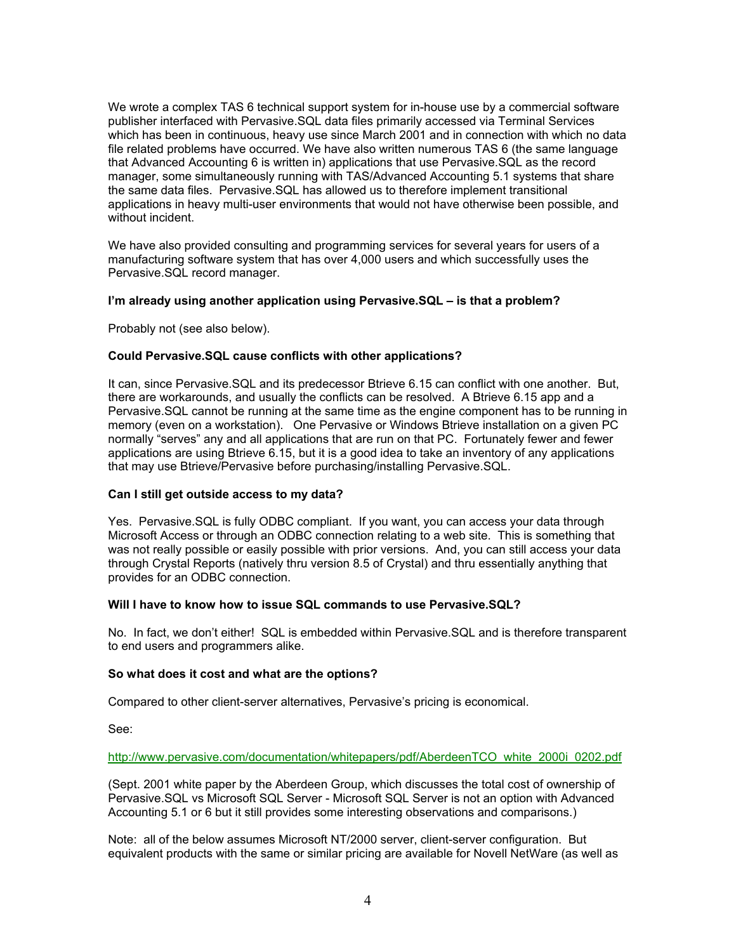We wrote a complex TAS 6 technical support system for in-house use by a commercial software publisher interfaced with Pervasive.SQL data files primarily accessed via Terminal Services which has been in continuous, heavy use since March 2001 and in connection with which no data file related problems have occurred. We have also written numerous TAS 6 (the same language that Advanced Accounting 6 is written in) applications that use Pervasive.SQL as the record manager, some simultaneously running with TAS/Advanced Accounting 5.1 systems that share the same data files. Pervasive.SQL has allowed us to therefore implement transitional applications in heavy multi-user environments that would not have otherwise been possible, and without incident.

We have also provided consulting and programming services for several years for users of a manufacturing software system that has over 4,000 users and which successfully uses the Pervasive.SQL record manager.

#### **I'm already using another application using Pervasive.SQL – is that a problem?**

Probably not (see also below).

### **Could Pervasive.SQL cause conflicts with other applications?**

It can, since Pervasive.SQL and its predecessor Btrieve 6.15 can conflict with one another. But, there are workarounds, and usually the conflicts can be resolved. A Btrieve 6.15 app and a Pervasive.SQL cannot be running at the same time as the engine component has to be running in memory (even on a workstation). One Pervasive or Windows Btrieve installation on a given PC normally "serves" any and all applications that are run on that PC. Fortunately fewer and fewer applications are using Btrieve 6.15, but it is a good idea to take an inventory of any applications that may use Btrieve/Pervasive before purchasing/installing Pervasive.SQL.

#### **Can I still get outside access to my data?**

Yes. Pervasive.SQL is fully ODBC compliant. If you want, you can access your data through Microsoft Access or through an ODBC connection relating to a web site. This is something that was not really possible or easily possible with prior versions. And, you can still access your data through Crystal Reports (natively thru version 8.5 of Crystal) and thru essentially anything that provides for an ODBC connection.

#### **Will I have to know how to issue SQL commands to use Pervasive.SQL?**

No. In fact, we don't either! SQL is embedded within Pervasive.SQL and is therefore transparent to end users and programmers alike.

#### **So what does it cost and what are the options?**

Compared to other client-server alternatives, Pervasive's pricing is economical.

See:

http://www.pervasive.com/documentation/whitepapers/pdf/AberdeenTCO\_white\_2000i\_0202.pdf

(Sept. 2001 white paper by the Aberdeen Group, which discusses the total cost of ownership of Pervasive.SQL vs Microsoft SQL Server - Microsoft SQL Server is not an option with Advanced Accounting 5.1 or 6 but it still provides some interesting observations and comparisons.)

Note: all of the below assumes Microsoft NT/2000 server, client-server configuration. But equivalent products with the same or similar pricing are available for Novell NetWare (as well as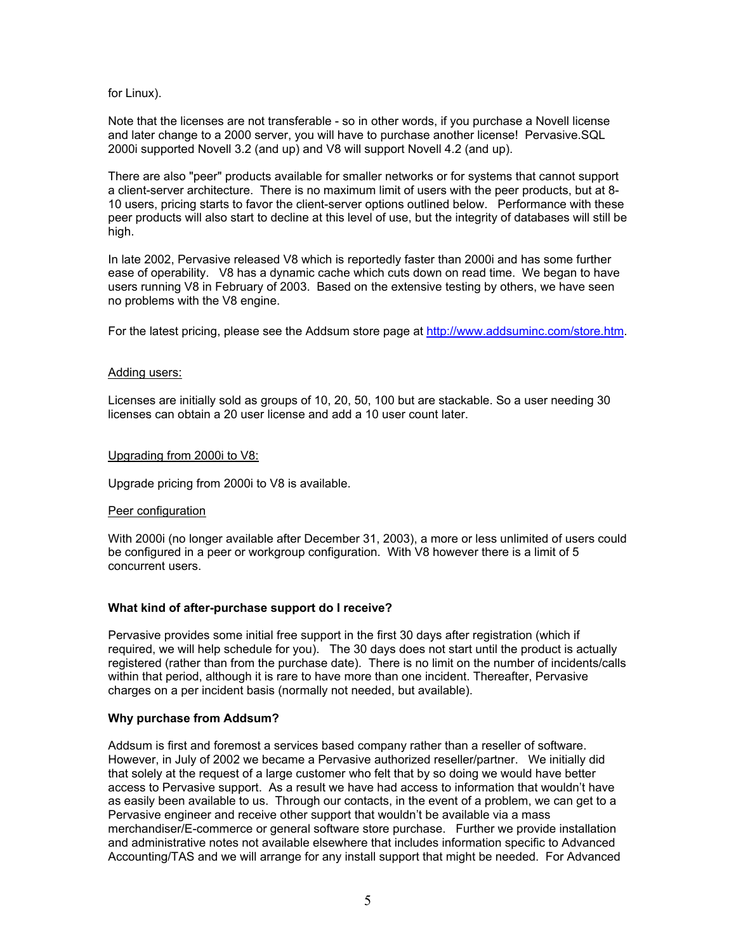for Linux).

Note that the licenses are not transferable - so in other words, if you purchase a Novell license and later change to a 2000 server, you will have to purchase another license! Pervasive.SQL 2000i supported Novell 3.2 (and up) and V8 will support Novell 4.2 (and up).

There are also "peer" products available for smaller networks or for systems that cannot support a client-server architecture. There is no maximum limit of users with the peer products, but at 8- 10 users, pricing starts to favor the client-server options outlined below. Performance with these peer products will also start to decline at this level of use, but the integrity of databases will still be high.

In late 2002, Pervasive released V8 which is reportedly faster than 2000i and has some further ease of operability. V8 has a dynamic cache which cuts down on read time. We began to have users running V8 in February of 2003. Based on the extensive testing by others, we have seen no problems with the V8 engine.

For the latest pricing, please see the Addsum store page at http://www.addsuminc.com/store.htm.

#### Adding users:

Licenses are initially sold as groups of 10, 20, 50, 100 but are stackable. So a user needing 30 licenses can obtain a 20 user license and add a 10 user count later.

## Upgrading from 2000i to V8:

Upgrade pricing from 2000i to V8 is available.

#### Peer configuration

With 2000i (no longer available after December 31, 2003), a more or less unlimited of users could be configured in a peer or workgroup configuration. With V8 however there is a limit of 5 concurrent users.

## **What kind of after-purchase support do I receive?**

Pervasive provides some initial free support in the first 30 days after registration (which if required, we will help schedule for you). The 30 days does not start until the product is actually registered (rather than from the purchase date). There is no limit on the number of incidents/calls within that period, although it is rare to have more than one incident. Thereafter, Pervasive charges on a per incident basis (normally not needed, but available).

#### **Why purchase from Addsum?**

Addsum is first and foremost a services based company rather than a reseller of software. However, in July of 2002 we became a Pervasive authorized reseller/partner. We initially did that solely at the request of a large customer who felt that by so doing we would have better access to Pervasive support. As a result we have had access to information that wouldn't have as easily been available to us. Through our contacts, in the event of a problem, we can get to a Pervasive engineer and receive other support that wouldn't be available via a mass merchandiser/E-commerce or general software store purchase. Further we provide installation and administrative notes not available elsewhere that includes information specific to Advanced Accounting/TAS and we will arrange for any install support that might be needed. For Advanced